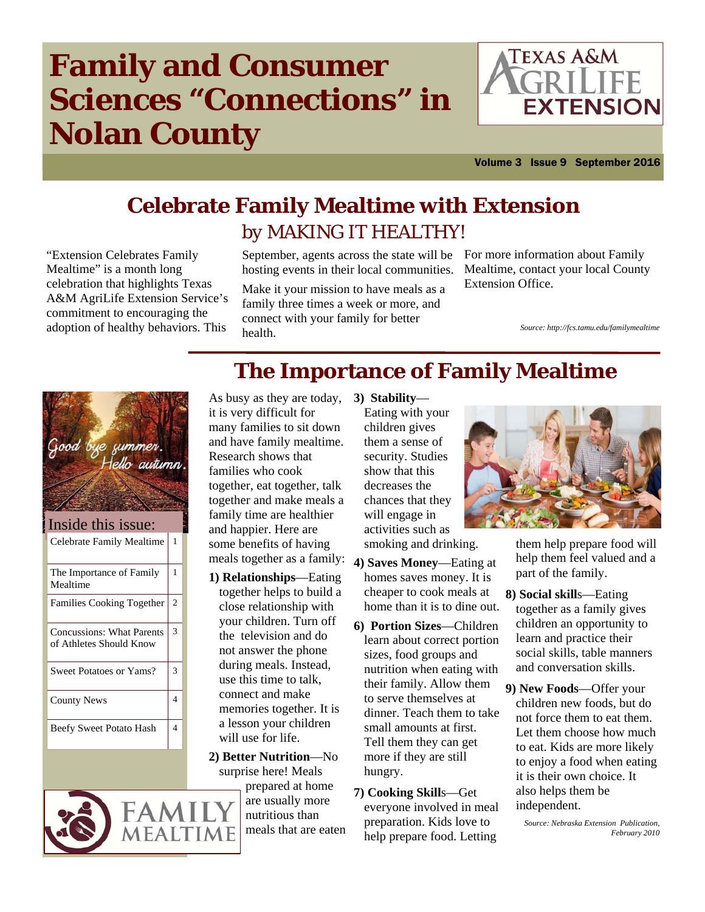# **Family and Consumer Sciences "Connections" in Nolan County**



Volume 3 Issue 9 September 2016

# **Celebrate Family Mealtime with Extension**  *by MAKING IT HEALTHY!*

"Extension Celebrates Family Mealtime" is a month long celebration that highlights Texas A&M AgriLife Extension Service's commitment to encouraging the adoption of healthy behaviors. This

September, agents across the state will be For more information about Family hosting events in their local communities.

Make it your mission to have meals as a family three times a week or more, and connect with your family for better health.

Mealtime, contact your local County Extension Office.

*Source: http://fcs.tamu.edu/familymealtime*





## **The Importance of Family Mealtime**  As busy as they are today, **3) Stability**—

it is very difficult for many families to sit down and have family mealtime. Research shows that families who cook together, eat together, talk together and make meals a family time are healthier and happier. Here are some benefits of having meals together as a family:

- **1) Relationships**—Eating together helps to build a close relationship with your children. Turn off the television and do not answer the phone during meals. Instead, use this time to talk, connect and make memories together. It is a lesson your children will use for life.
- **2) Better Nutrition**—No surprise here! Meals

prepared at home are usually more nutritious than meals that are eaten

- Eating with your children gives them a sense of security. Studies show that this decreases the chances that they will engage in activities such as smoking and drinking.
- **4) Saves Money**—Eating at homes saves money. It is cheaper to cook meals at home than it is to dine out.
- **6) Portion Sizes**—Children learn about correct portion sizes, food groups and nutrition when eating with their family. Allow them to serve themselves at dinner. Teach them to take small amounts at first. Tell them they can get more if they are still hungry.
- **7) Cooking Skill**s—Get everyone involved in meal preparation. Kids love to help prepare food. Letting



them help prepare food will help them feel valued and a part of the family.

- **8) Social skill**s—Eating together as a family gives children an opportunity to learn and practice their social skills, table manners and conversation skills.
- **9) New Foods**—Offer your children new foods, but do not force them to eat them. Let them choose how much to eat. Kids are more likely to enjoy a food when eating it is their own choice. It also helps them be independent.

*Source: Nebraska Extension Publication, February 2010*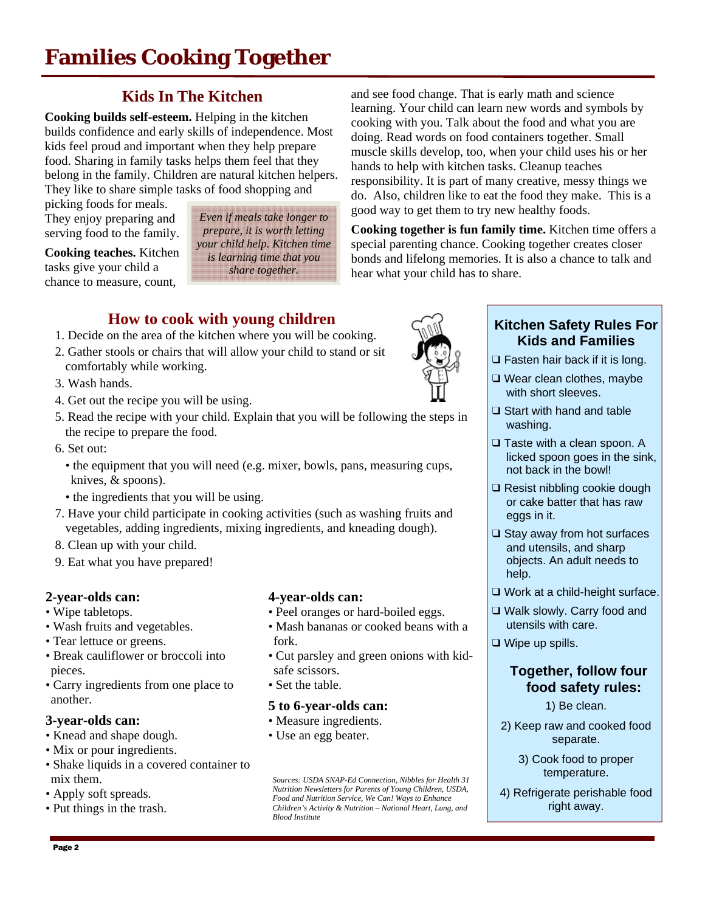## **Kids In The Kitchen**

**Cooking builds self-esteem.** Helping in the kitchen builds confidence and early skills of independence. Most kids feel proud and important when they help prepare food. Sharing in family tasks helps them feel that they belong in the family. Children are natural kitchen helpers. They like to share simple tasks of food shopping and

picking foods for meals. They enjoy preparing and serving food to the family.

#### **Cooking teaches.** Kitchen tasks give your child a chance to measure, count,

*Even if meals take longer to prepare, it is worth letting your child help. Kitchen time is learning time that you share together.*

and see food change. That is early math and science learning. Your child can learn new words and symbols by cooking with you. Talk about the food and what you are doing. Read words on food containers together. Small muscle skills develop, too, when your child uses his or her hands to help with kitchen tasks. Cleanup teaches responsibility. It is part of many creative, messy things we do. Also, children like to eat the food they make. This is a good way to get them to try new healthy foods.

**Cooking together is fun family time.** Kitchen time offers a special parenting chance. Cooking together creates closer bonds and lifelong memories. It is also a chance to talk and hear what your child has to share.

## **How to cook with young children**

- 1. Decide on the area of the kitchen where you will be cooking.
- 2. Gather stools or chairs that will allow your child to stand or sit comfortably while working.
- 3. Wash hands.
- 4. Get out the recipe you will be using.
- 5. Read the recipe with your child. Explain that you will be following the steps in the recipe to prepare the food.
- 6. Set out:
	- the equipment that you will need (e.g. mixer, bowls, pans, measuring cups, knives, & spoons).
	- the ingredients that you will be using.
- 7. Have your child participate in cooking activities (such as washing fruits and vegetables, adding ingredients, mixing ingredients, and kneading dough).
- 8. Clean up with your child.
- 9. Eat what you have prepared!

#### **2-year-olds can:**

- Wipe tabletops.
- Wash fruits and vegetables.
- Tear lettuce or greens.
- Break cauliflower or broccoli into pieces.
- Carry ingredients from one place to another.

#### **3-year-olds can:**

- Knead and shape dough.
- Mix or pour ingredients.
- Shake liquids in a covered container to mix them.
- Apply soft spreads.
- Put things in the trash.

#### **4-year-olds can:**

- Peel oranges or hard-boiled eggs.
- Mash bananas or cooked beans with a fork.
- Cut parsley and green onions with kidsafe scissors.
- Set the table.

#### **5 to 6-year-olds can:**

- Measure ingredients.
- Use an egg beater.

*Sources: USDA SNAP-Ed Connection, Nibbles for Health 31 Nutrition Newsletters for Parents of Young Children, USDA, Food and Nutrition Service, We Can! Ways to Enhance Children's Activity & Nutrition – National Heart, Lung, and Blood Institute* 



#### **Kitchen Safety Rules For Kids and Families**

- ❑ Fasten hair back if it is long.
- ❑ Wear clean clothes, maybe with short sleeves.
- ❑ Start with hand and table washing.
- ❑ Taste with a clean spoon. A licked spoon goes in the sink, not back in the bowl!
- ❑ Resist nibbling cookie dough or cake batter that has raw eggs in it.
- ❑ Stay away from hot surfaces and utensils, and sharp objects. An adult needs to help.
- ❑ Work at a child-height surface.
- ❑ Walk slowly. Carry food and utensils with care.
- ❑ Wipe up spills.

#### **Together, follow four food safety rules:**

- 1) Be clean.
- 2) Keep raw and cooked food separate.

3) Cook food to proper temperature.

4) Refrigerate perishable food right away.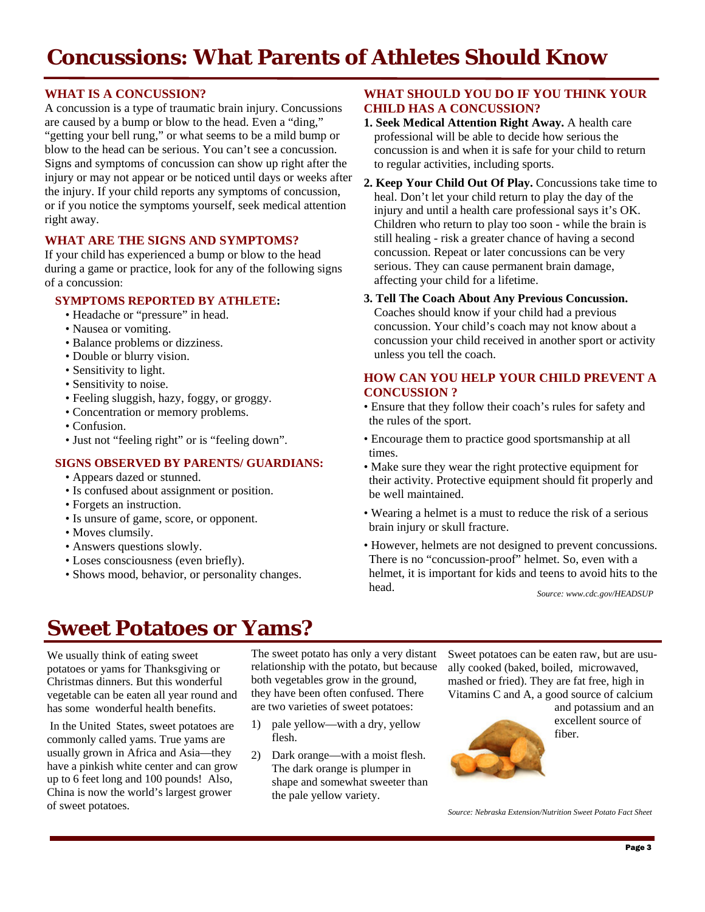# **Concussions: What Parents of Athletes Should Know**

#### **WHAT IS A CONCUSSION?**

A concussion is a type of traumatic brain injury. Concussions are caused by a bump or blow to the head. Even a "ding," "getting your bell rung," or what seems to be a mild bump or blow to the head can be serious. You can't see a concussion. Signs and symptoms of concussion can show up right after the injury or may not appear or be noticed until days or weeks after the injury. If your child reports any symptoms of concussion, or if you notice the symptoms yourself, seek medical attention right away.

#### **WHAT ARE THE SIGNS AND SYMPTOMS?**

If your child has experienced a bump or blow to the head during a game or practice, look for any of the following signs of a concussion:

#### **SYMPTOMS REPORTED BY ATHLETE:**

- Headache or "pressure" in head.
- Nausea or vomiting.
- Balance problems or dizziness.
- Double or blurry vision.
- Sensitivity to light.
- Sensitivity to noise.
- Feeling sluggish, hazy, foggy, or groggy.
- Concentration or memory problems.
- Confusion.
- Just not "feeling right" or is "feeling down".

#### **SIGNS OBSERVED BY PARENTS/ GUARDIANS:**

- Appears dazed or stunned.
- Is confused about assignment or position.
- Forgets an instruction.
- Is unsure of game, score, or opponent.
- Moves clumsily.
- Answers questions slowly.
- Loses consciousness (even briefly).
- Shows mood, behavior, or personality changes.

#### **WHAT SHOULD YOU DO IF YOU THINK YOUR CHILD HAS A CONCUSSION?**

- **1. Seek Medical Attention Right Away.** A health care professional will be able to decide how serious the concussion is and when it is safe for your child to return to regular activities, including sports.
- **2. Keep Your Child Out Of Play.** Concussions take time to heal. Don't let your child return to play the day of the injury and until a health care professional says it's OK. Children who return to play too soon - while the brain is still healing - risk a greater chance of having a second concussion. Repeat or later concussions can be very serious. They can cause permanent brain damage, affecting your child for a lifetime.

#### **3. Tell The Coach About Any Previous Concussion.**

Coaches should know if your child had a previous concussion. Your child's coach may not know about a concussion your child received in another sport or activity unless you tell the coach.

#### **HOW CAN YOU HELP YOUR CHILD PREVENT A CONCUSSION ?**

- Ensure that they follow their coach's rules for safety and the rules of the sport.
- Encourage them to practice good sportsmanship at all times.
- Make sure they wear the right protective equipment for their activity. Protective equipment should fit properly and be well maintained.
- Wearing a helmet is a must to reduce the risk of a serious brain injury or skull fracture.
- However, helmets are not designed to prevent concussions. There is no "concussion-proof" helmet. So, even with a helmet, it is important for kids and teens to avoid hits to the head.

*Source: www.cdc.gov/HEADSUP* 

## **Sweet Potatoes or Yams?**

We usually think of eating sweet potatoes or yams for Thanksgiving or Christmas dinners. But this wonderful vegetable can be eaten all year round and has some wonderful health benefits.

 In the United States, sweet potatoes are commonly called yams. True yams are usually grown in Africa and Asia—they have a pinkish white center and can grow up to 6 feet long and 100 pounds! Also, China is now the world's largest grower of sweet potatoes.

The sweet potato has only a very distant relationship with the potato, but because both vegetables grow in the ground, they have been often confused. There are two varieties of sweet potatoes:

- 1) pale yellow—with a dry, yellow flesh.
- 2) Dark orange—with a moist flesh. The dark orange is plumper in shape and somewhat sweeter than the pale yellow variety.

Sweet potatoes can be eaten raw, but are usually cooked (baked, boiled, microwaved, mashed or fried). They are fat free, high in Vitamins C and A, a good source of calcium

> and potassium and an excellent source of fiber.